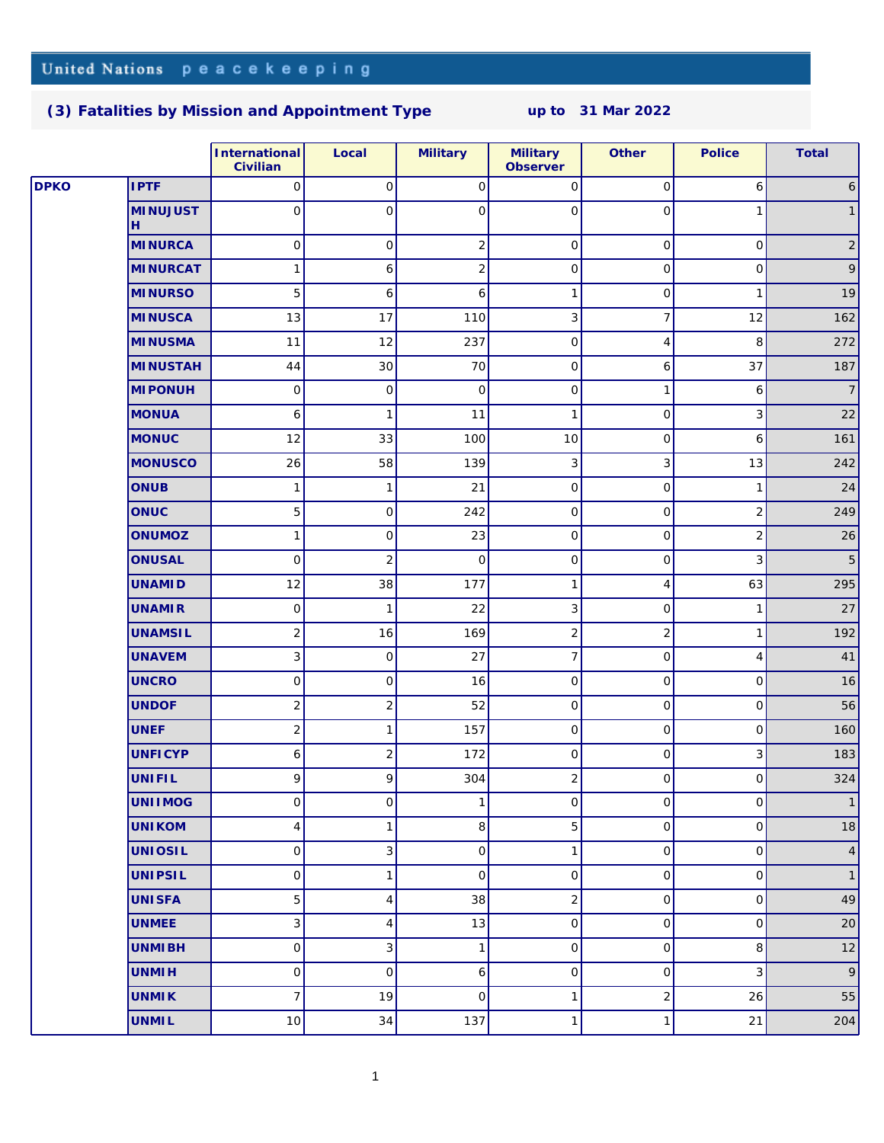#### **[\(3\) Fatalities by Mission and Appointment Type](http://www.un.org/Depts/dpko/fatalities/) up to 31 Mar 2022**

|      |                      | International<br>Civilian | Local                     | Military     | Military<br>Observer         | Other          | Police                    | Total          |
|------|----------------------|---------------------------|---------------------------|--------------|------------------------------|----------------|---------------------------|----------------|
| DPKO | <b>IPTF</b>          | 0                         | $\mathsf O$               | $\mathsf{O}$ | $\circ$                      | 0              | 6                         | 6              |
|      | <b>MINUJUST</b><br>Н | 0                         | $\mathbf 0$               | 0            | $\circ$                      | 0              | 1                         | $\mathbf{1}$   |
|      | <b>MINURCA</b>       | $\circ$                   | $\mathsf{O}\xspace$       | 2            | $\circ$                      | $\mathsf O$    | $\circ$                   | $\overline{c}$ |
|      | <b>MINURCAT</b>      | 1                         | $\epsilon$                | 2            | $\circ$                      | $\mathsf O$    | $\circ$                   | 9              |
|      | <b>MINURSO</b>       | 5                         | $\epsilon$                | 6            | 1                            | $\mathsf O$    | $\mathbf{1}$              | 19             |
|      | <b>MINUSCA</b>       | 13                        | 17                        | 110          | 3                            | $\overline{7}$ | 12                        | 162            |
|      | <b>MINUSMA</b>       | 11                        | 12                        | 237          | $\overline{O}$               | $\overline{4}$ | 8                         | 272            |
|      | <b>MINUSTAH</b>      | 44                        | 30                        | 70           | 0                            | 6              | 37                        | 187            |
|      | <b>MI PONUH</b>      | $\mathsf O$               | $\mathsf O$               | $\mathsf{O}$ | $\circ$                      | 1              | 6                         | $\overline{7}$ |
|      | <b>MONUA</b>         | $\boldsymbol{6}$          | $\mathbf{1}$              | 11           | $\mathbf{1}$                 | $\mathsf O$    | 3                         | 22             |
|      | <b>MONUC</b>         | 12                        | 33                        | 100          | 10                           | $\circ$        | 6                         | 161            |
|      | <b>MONUSCO</b>       | 26                        | 58                        | 139          | $\overline{3}$               | 3              | 13                        | 242            |
|      | <b>ONUB</b>          | 1                         | $\mathbf{1}$              | 21           | 0                            | 0              | 1                         | 24             |
|      | ONUC                 | 5                         | $\mathsf O$               | 242          | $\circ$                      | $\circ$        | $\overline{c}$            | 249            |
|      | ONUMOZ               | $\mathbf{1}$              | $\mathsf O$               | 23           | $\circ$                      | $\mathsf O$    | $\overline{2}$            | 26             |
|      | <b>ONUSAL</b>        | 0                         | $\mathbf 2$               | $\mathbf 0$  | $\circ$                      | 0              | $\ensuremath{\mathsf{3}}$ | 5              |
|      | <b>UNAMID</b>        | 12                        | 38                        | 177          | $\mathbf{1}$                 | 4              | 63                        | 295            |
|      | <b>UNAMIR</b>        | $\mathsf O$               | 1                         | 22           | 3                            | 0              | 1                         | 27             |
|      | <b>UNAMSIL</b>       | $\overline{2}$            | 16                        | 169          | $\overline{2}$               | $\sqrt{2}$     | 1                         | 192            |
|      | <b>UNAVEM</b>        | $\overline{3}$            | $\mathsf O$               | 27           | $\overline{7}$               | $\hbox{O}$     | $\overline{4}$            | 41             |
|      | <b>UNCRO</b>         | $\mathsf O$               | $\mathsf O$               | 16           | $\circ$                      | 0              | $\circ$                   | 16             |
|      | <b>UNDOF</b>         | $\overline{c}$            | $\sqrt{2}$                | 52           | $\circ$                      | 0              | $\mathsf{O}\xspace$       | 56             |
|      | <b>UNEF</b>          | $\overline{c}$            | $\mathbf{1}$              | 157          | 0                            | 0              | 0                         | 160            |
|      | <b>UNFICYP</b>       | 6                         | $\sqrt{2}$                | 172          | 0                            | $\circ$        | 3                         | 183            |
|      | UNIFIL               | 9                         | 9                         | 304          | $\overline{2}$               | $\overline{O}$ | $\circ$                   | 324            |
|      | <b>UNIIMOG</b>       | 0                         | $\mathsf{O}\xspace$       | $\mathbf{1}$ | $\circ$                      | $\hbox{O}$     | $\mathsf{O}\xspace$       | $\mathbf{1}$   |
|      | <b>UNIKOM</b>        | 4                         | $\mathbf{1}$              | 8            | 5 <sub>5</sub>               | 0              | $\mathsf{O}\xspace$       | 18             |
|      | <b>UNIOSIL</b>       | $\mathsf O$               | $\ensuremath{\mathsf{3}}$ | $\mathsf{O}$ | 1                            | 0              | $\circ$                   | $\overline{4}$ |
|      | <b>UNIPSIL</b>       | $\mathsf O$               | $\mathbf{1}$              | $\mathsf{O}$ | 0                            | $\overline{O}$ | $\circ$                   | $\mathbf{1}$   |
|      | <b>UNISFA</b>        | 5                         | $\overline{4}$            | 38           | $\left  \frac{2}{2} \right $ | 0              | $\circ$                   | 49             |
|      | <b>UNMEE</b>         | 3                         | $\overline{4}$            | 13           | $\circ$                      | 0              | $\circ$                   | 20             |
|      | <b>UNMIBH</b>        | $\hbox{O}$                | $\ensuremath{\mathsf{3}}$ | 1            | $\overline{O}$               | 0              | 8                         | 12             |
|      | <b>UNMIH</b>         | $\mathsf O$               | $\mathbf 0$               | 6            | 0                            | 0              | 3                         | 9              |
|      | <b>UNMIK</b>         | $\overline{7}$            | 19                        | $\mathbf{O}$ | $\rightarrow$                | $\mathbf 2$    | 26                        | 55             |
|      | <b>UNMIL</b>         | $10$                      | 34                        | 137          | 1                            | $\mathbf{1}$   | 21                        | 204            |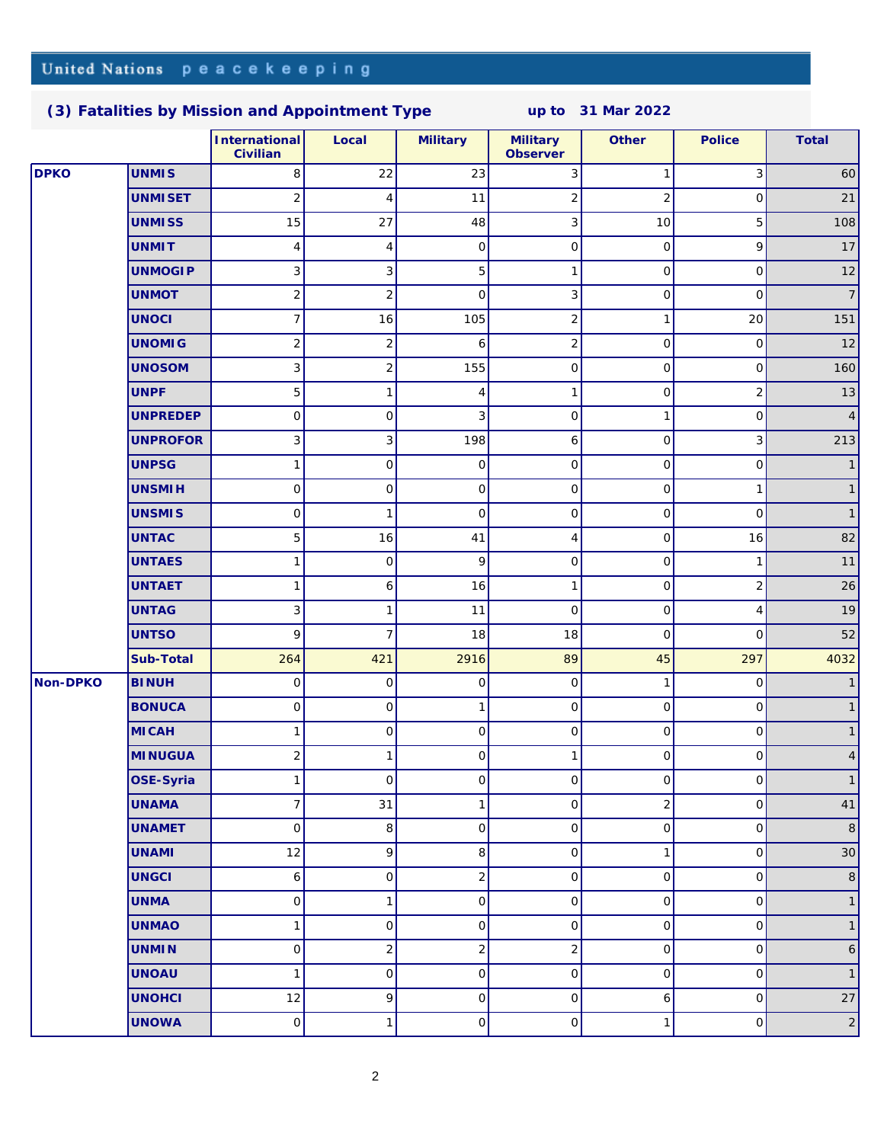## United Nations peacekeeping

### **[\(3\) Fatalities by Mission and Appointment Type](http://www.un.org/Depts/dpko/fatalities/) up to 31 Mar 2022**

|             |                 | International<br>Civilian    | Local                   | Military     | Military<br>Observer    | Other          | Police              | Total          |
|-------------|-----------------|------------------------------|-------------------------|--------------|-------------------------|----------------|---------------------|----------------|
| <b>DPKO</b> | <b>UNMIS</b>    | 8                            | 22                      | 23           | $\overline{3}$          | 1              | 3                   | 60             |
|             | <b>UNMISET</b>  | $\overline{2}$               | 4                       | 11           | $\overline{c}$          | $\overline{2}$ | 0                   | 21             |
|             | <b>UNMISS</b>   | 15                           | 27                      | 48           | $\overline{\mathbf{3}}$ | 10             | 5                   | 108            |
|             | <b>UNMIT</b>    | 4                            | 4                       | $\mathbf 0$  | $\circ$                 | 0              | $\overline{9}$      | 17             |
|             | <b>UNMOGIP</b>  | 3                            | 3                       | 5            | 1                       | 0              | $\circ$             | 12             |
|             | <b>UNMOT</b>    | $\left  \frac{2}{2} \right $ | $\overline{c}$          | $\mathbf{O}$ | $\overline{3}$          | 0              | 0                   | $\overline{7}$ |
|             | <b>UNOCI</b>    | 7                            | 16                      | 105          | $\overline{c}$          | $\mathbf{1}$   | 20                  | 151            |
|             | <b>UNOMIG</b>   | $\overline{2}$               | $\overline{\mathbf{c}}$ | 6            | $\overline{2}$          | 0              | $\circ$             | 12             |
|             | <b>UNOSOM</b>   | 3                            | $\overline{c}$          | 155          | $\circ$                 | 0              | 0                   | 160            |
|             | <b>UNPF</b>     | 5                            | 1                       | 4            | 1                       | 0              | $\overline{2}$      | 13             |
|             | <b>UNPREDEP</b> | 0                            | $\mathsf O$             | 3            | $\circ$                 | 1              | 0                   | $\overline{4}$ |
|             | <b>UNPROFOR</b> | 3                            | 3                       | 198          | $6 \mid$                | 0              | 3                   | 213            |
|             | <b>UNPSG</b>    | 1                            | $\mathsf O$             | $\mathsf{O}$ | $\circ$                 | 0              | $\circ$             | $\overline{1}$ |
|             | <b>UNSMIH</b>   | $\circ$                      | $\mathsf O$             | $\mathbf 0$  | $\circ$                 | 0              | 1                   | $\mathbf{1}$   |
|             | <b>UNSMIS</b>   | $\circ$                      | 1                       | $\mathbf{O}$ | $\circ$                 | 0              | $\circ$             | $\mathbf{1}$   |
|             | <b>UNTAC</b>    | 5                            | 16                      | 41           | 4                       | $\hbox{O}$     | 16                  | 82             |
|             | <b>UNTAES</b>   | 1                            | $\mathsf{O}\xspace$     | 9            | $\circ$                 | 0              | 1                   | 11             |
|             | <b>UNTAET</b>   | 1                            | 6                       | 16           | 1                       | 0              | $\overline{2}$      | 26             |
|             | <b>UNTAG</b>    | 3                            | 1                       | 11           | $\overline{0}$          | 0              | $\vert 4 \vert$     | 19             |
|             | <b>UNTSO</b>    | $\vert 9 \vert$              | $\overline{7}$          | 18           | 18                      | $\mathbf{O}$   | $\circ$             | 52             |
|             | Sub-Total       | 264                          | 421                     | 2916         | 89                      | 45             | 297                 | 4032           |
| Non-DPKO    | <b>BINUH</b>    | $\circ$                      | $\mathsf{O}\xspace$     | $\mathbf 0$  | $\circ$                 | $\mathbf{1}$   | 0                   | $\overline{1}$ |
|             | <b>BONUCA</b>   | $\circ$                      | $\mathsf O$             | 1            | $\circ$                 | 0              | $\circ$             | $\mathbf{1}$   |
|             | <b>MICAH</b>    | 1                            | $\mathsf{O}\xspace$     | $\mathbf 0$  | $\circ$                 | 0              | $\circ$             | $\mathbf{1}$   |
|             | <b>MINUGUA</b>  | $\overline{2}$               | 1                       | $\mathbf{O}$ | 1                       | 0              | $\circ$             | $\overline{4}$ |
|             | OSE-Syria       | 1                            | $\mathsf O$             | $\mathsf O$  | $\circ$                 | $\mathsf O$    | $\circ$             | $\mathbf{1}$   |
|             | <b>UNAMA</b>    | $\overline{7}$               | 31                      | 1            | 0                       | $\sqrt{2}$     | $\circ$             | 41             |
|             | <b>UNAMET</b>   | 0                            | 8                       | $\mathsf O$  | $\circ$                 | $\hbox{O}$     | 0                   | $\,8\,$        |
|             | <b>UNAMI</b>    | 12                           | 9                       | 8            | $\circ$                 | $\mathbf{1}$   | 0                   | 30             |
|             | <b>UNGCI</b>    | 6                            | $\mathsf O$             | $\sqrt{2}$   | $\circ$                 | $\mathsf O$    | $\circ$             | $\,8\,$        |
|             | <b>UNMA</b>     | 0                            | $\mathbf{1}$            | $\mathsf O$  | $\circ$                 | $\hbox{O}$     | 0                   | $\mathbf{1}$   |
|             | <b>UNMAO</b>    | 1                            | $\mathsf O$             | $\mathsf O$  | $\circ$                 | 0              | 0                   | $\mathbf{1}$   |
|             | <b>UNMIN</b>    | 0                            | $\overline{c}$          | $\sqrt{2}$   | $\overline{c}$          | $\mathsf O$    | $\mathsf{O}\xspace$ | 6              |
|             | <b>UNOAU</b>    | 1                            | $\mathsf O$             | 0            | $\circ$                 | 0              | 0                   | $\mathbf{1}$   |
|             | <b>UNOHCI</b>   | 12                           | 9                       | $\mathsf{O}$ | $\circ$                 | 6              | $\circ$             | 27             |
|             | <b>UNOWA</b>    | 0                            | 1                       | $\mathsf O$  | 0                       | 1              | $\circ$             | $\overline{2}$ |